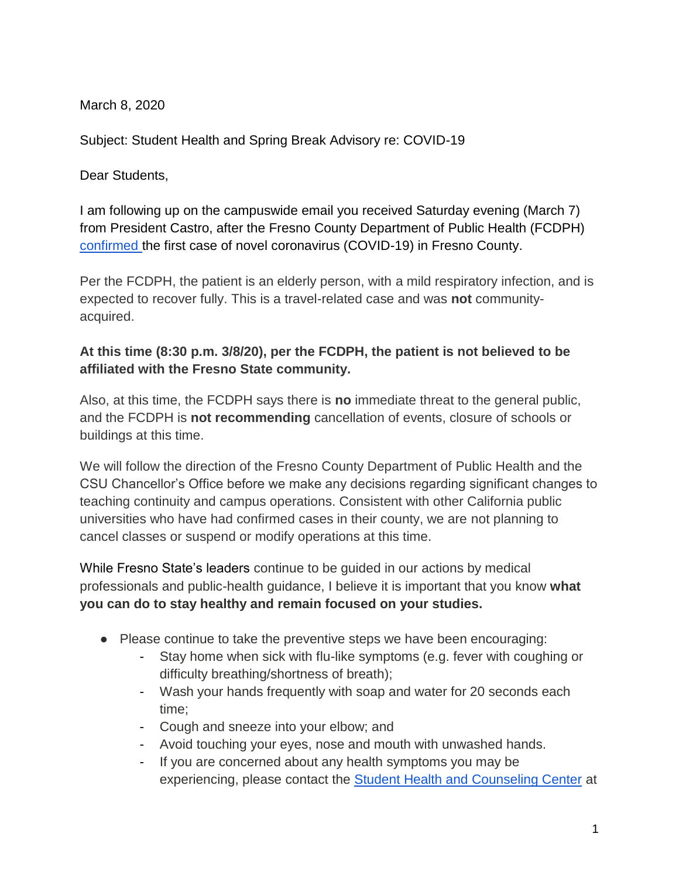March 8, 2020

Subject: Student Health and Spring Break Advisory re: COVID-19

Dear Students,

I am following up on the campuswide email you received Saturday evening (March 7) from President Castro, after the Fresno County Department of Public Health (FCDPH) [confirmed t](https://www.co.fresno.ca.us/departments/public-health/covid-19)he first case of novel coronavirus (COVID-19) in Fresno County.

Per the FCDPH, the patient is an elderly person, with a mild respiratory infection, and is expected to recover fully. This is a travel-related case and was **not** communityacquired.

## **At this time (8:30 p.m. 3/8/20), per the FCDPH, the patient is not believed to be affiliated with the Fresno State community.**

Also, at this time, the FCDPH says there is **no** immediate threat to the general public, and the FCDPH is **not recommending** cancellation of events, closure of schools or buildings at this time.

We will follow the direction of the Fresno County Department of Public Health and the CSU Chancellor's Office before we make any decisions regarding significant changes to teaching continuity and campus operations. Consistent with other California public universities who have had confirmed cases in their county, we are not planning to cancel classes or suspend or modify operations at this time.

While Fresno State's leaders continue to be guided in our actions by medical professionals and public-health guidance, I believe it is important that you know **what you can do to stay healthy and remain focused on your studies.**

- Please continue to take the preventive steps we have been encouraging:
	- Stay home when sick with flu-like symptoms (e.g. fever with coughing or difficulty breathing/shortness of breath);
	- Wash your hands frequently with soap and water for 20 seconds each time;
	- Cough and sneeze into your elbow; and
	- Avoid touching your eyes, nose and mouth with unwashed hands.
	- If you are concerned about any health symptoms you may be experiencing, please contact the **Student Health and Counseling Center** at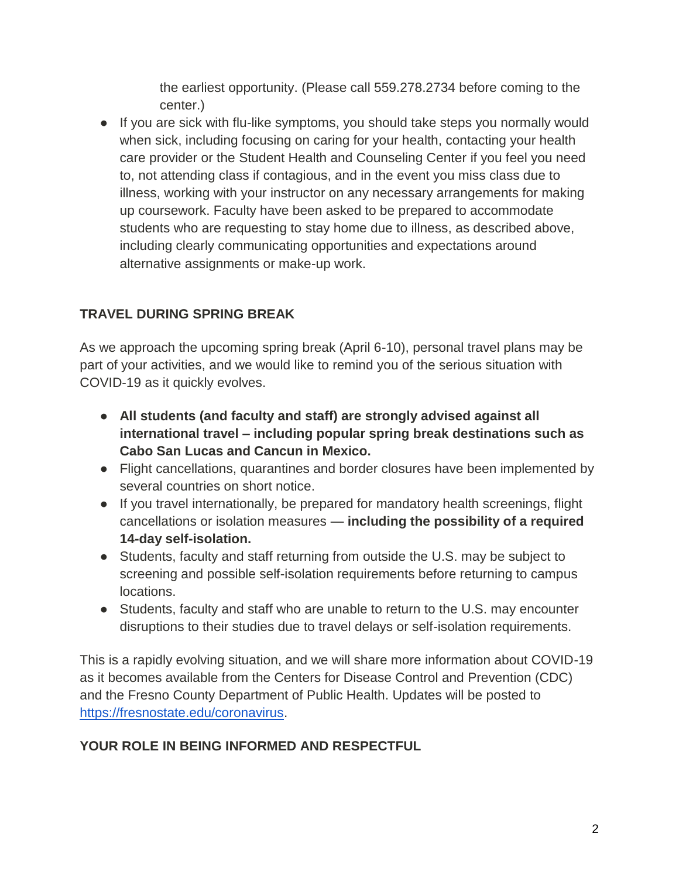the earliest opportunity. (Please call 559.278.2734 before coming to the center.)

● If you are sick with flu-like symptoms, you should take steps you normally would when sick, including focusing on caring for your health, contacting your health care provider or the [Student Health and Counseling Center](http://www.fresnostate.edu/studentaffairs/health/) if you feel you need to, not attending class if contagious, and in the event you miss class due to illness, working with your instructor on any necessary arrangements for making up coursework. Faculty have been asked to be prepared to accommodate students who are requesting to stay home due to illness, as described above, including clearly communicating opportunities and expectations around alternative assignments or make-up work.

## **TRAVEL DURING SPRING BREAK**

As we approach the upcoming spring break (April 6-10), personal travel plans may be part of your activities, and we would like to remind you of the serious situation with COVID-19 as it quickly evolves.

- **All students (and faculty and staff) are strongly advised against all international travel – including popular spring break destinations such as Cabo San Lucas and Cancun in Mexico.**
- Flight cancellations, quarantines and border closures have been implemented by several countries on short notice.
- If you travel internationally, be prepared for mandatory health screenings, flight cancellations or isolation measures — **including the possibility of a required 14-day self-isolation.**
- Students, faculty and staff returning from outside the U.S. may be subject to screening and possible self-isolation requirements before returning to campus locations.
- Students, faculty and staff who are unable to return to the U.S. may encounter disruptions to their studies due to travel delays or self-isolation requirements.

This is a rapidly evolving situation, and we will share more information about COVID-19 as it becomes available from the Centers for Disease Control and Prevention (CDC) and the Fresno County Department of Public Health. Updates will be posted to [https://fresnostate.edu/coronavirus.](https://fresnostate.edu/coronavirus)

## **YOUR ROLE IN BEING INFORMED AND RESPECTFUL**